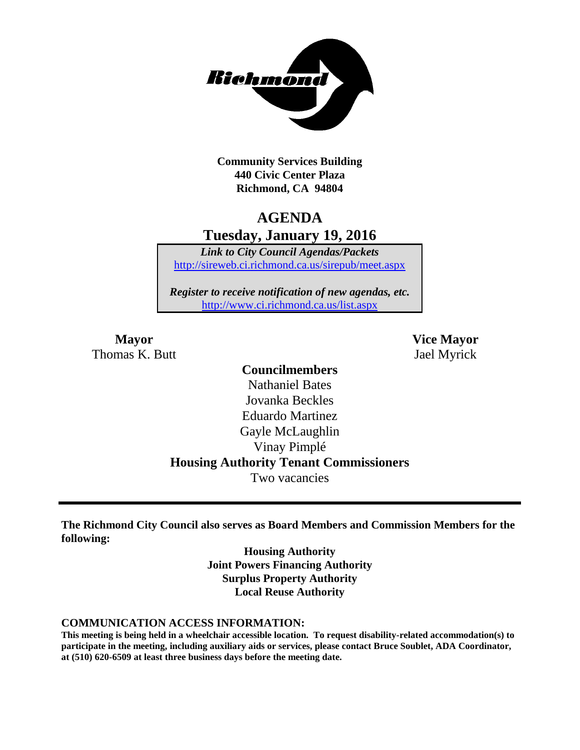

**Community Services Building 440 Civic Center Plaza Richmond, CA 94804**

# **AGENDA Tuesday, January 19, 2016**

*Link to City Council Agendas/Packets* <http://sireweb.ci.richmond.ca.us/sirepub/meet.aspx>

*Register to receive notification of new agendas, etc.* <http://www.ci.richmond.ca.us/list.aspx>

**Mayor Vice Mayor** Thomas K. Butt Jael Myrick

#### **Councilmembers**

Nathaniel Bates Jovanka Beckles Eduardo Martinez Gayle McLaughlin Vinay Pimplé **Housing Authority Tenant Commissioners** Two vacancies

**The Richmond City Council also serves as Board Members and Commission Members for the following:**

> **Housing Authority Joint Powers Financing Authority Surplus Property Authority Local Reuse Authority**

#### **COMMUNICATION ACCESS INFORMATION:**

**This meeting is being held in a wheelchair accessible location. To request disability-related accommodation(s) to participate in the meeting, including auxiliary aids or services, please contact Bruce Soublet, ADA Coordinator, at (510) 620-6509 at least three business days before the meeting date.**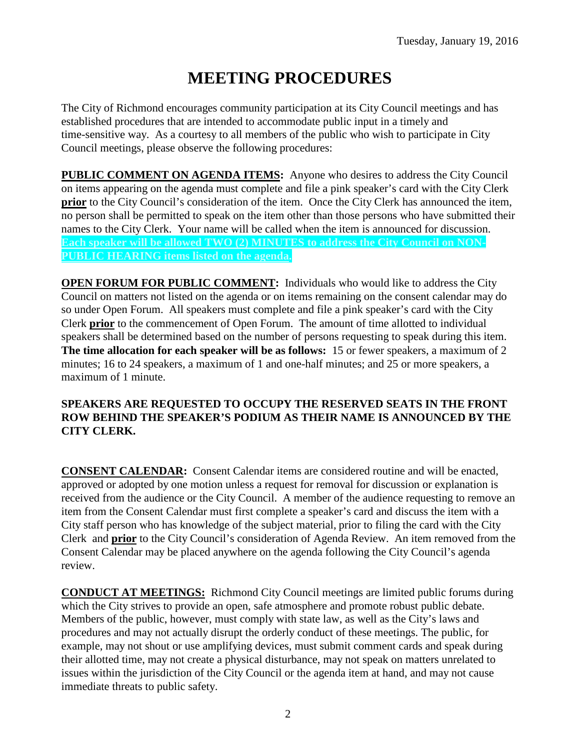# **MEETING PROCEDURES**

The City of Richmond encourages community participation at its City Council meetings and has established procedures that are intended to accommodate public input in a timely and time-sensitive way. As a courtesy to all members of the public who wish to participate in City Council meetings, please observe the following procedures:

**PUBLIC COMMENT ON AGENDA ITEMS:** Anyone who desires to address the City Council on items appearing on the agenda must complete and file a pink speaker's card with the City Clerk **prior** to the City Council's consideration of the item. Once the City Clerk has announced the item, no person shall be permitted to speak on the item other than those persons who have submitted their names to the City Clerk. Your name will be called when the item is announced for discussion. **Each speaker will be allowed TWO (2) MINUTES to address the City Council on NON-PUBLIC HEARING items listed on the agenda.**

**OPEN FORUM FOR PUBLIC COMMENT:** Individuals who would like to address the City Council on matters not listed on the agenda or on items remaining on the consent calendar may do so under Open Forum. All speakers must complete and file a pink speaker's card with the City Clerk **prior** to the commencement of Open Forum. The amount of time allotted to individual speakers shall be determined based on the number of persons requesting to speak during this item. **The time allocation for each speaker will be as follows:** 15 or fewer speakers, a maximum of 2 minutes; 16 to 24 speakers, a maximum of 1 and one-half minutes; and 25 or more speakers, a maximum of 1 minute.

#### **SPEAKERS ARE REQUESTED TO OCCUPY THE RESERVED SEATS IN THE FRONT ROW BEHIND THE SPEAKER'S PODIUM AS THEIR NAME IS ANNOUNCED BY THE CITY CLERK.**

**CONSENT CALENDAR:** Consent Calendar items are considered routine and will be enacted, approved or adopted by one motion unless a request for removal for discussion or explanation is received from the audience or the City Council. A member of the audience requesting to remove an item from the Consent Calendar must first complete a speaker's card and discuss the item with a City staff person who has knowledge of the subject material, prior to filing the card with the City Clerk and **prior** to the City Council's consideration of Agenda Review. An item removed from the Consent Calendar may be placed anywhere on the agenda following the City Council's agenda review.

**CONDUCT AT MEETINGS:** Richmond City Council meetings are limited public forums during which the City strives to provide an open, safe atmosphere and promote robust public debate. Members of the public, however, must comply with state law, as well as the City's laws and procedures and may not actually disrupt the orderly conduct of these meetings. The public, for example, may not shout or use amplifying devices, must submit comment cards and speak during their allotted time, may not create a physical disturbance, may not speak on matters unrelated to issues within the jurisdiction of the City Council or the agenda item at hand, and may not cause immediate threats to public safety.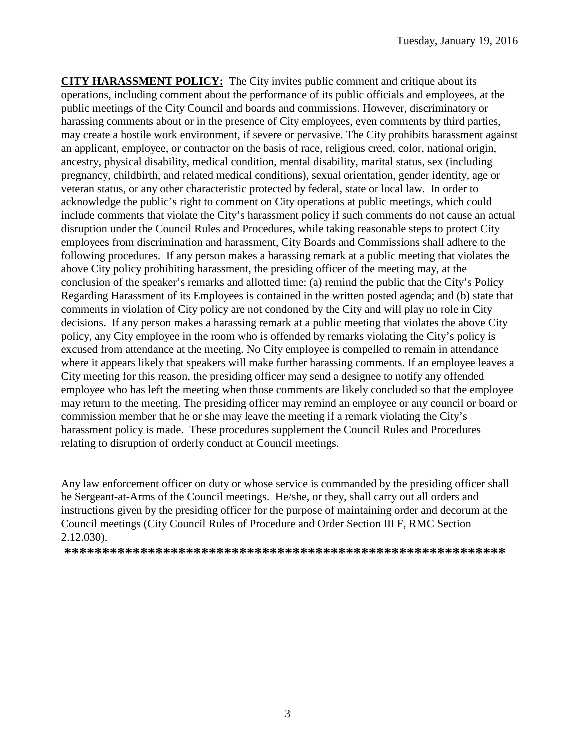**CITY HARASSMENT POLICY:** The City invites public comment and critique about its operations, including comment about the performance of its public officials and employees, at the public meetings of the City Council and boards and commissions. However, discriminatory or harassing comments about or in the presence of City employees, even comments by third parties, may create a hostile work environment, if severe or pervasive. The City prohibits harassment against an applicant, employee, or contractor on the basis of race, religious creed, color, national origin, ancestry, physical disability, medical condition, mental disability, marital status, sex (including pregnancy, childbirth, and related medical conditions), sexual orientation, gender identity, age or veteran status, or any other characteristic protected by federal, state or local law. In order to acknowledge the public's right to comment on City operations at public meetings, which could include comments that violate the City's harassment policy if such comments do not cause an actual disruption under the Council Rules and Procedures, while taking reasonable steps to protect City employees from discrimination and harassment, City Boards and Commissions shall adhere to the following procedures. If any person makes a harassing remark at a public meeting that violates the above City policy prohibiting harassment, the presiding officer of the meeting may, at the conclusion of the speaker's remarks and allotted time: (a) remind the public that the City's Policy Regarding Harassment of its Employees is contained in the written posted agenda; and (b) state that comments in violation of City policy are not condoned by the City and will play no role in City decisions. If any person makes a harassing remark at a public meeting that violates the above City policy, any City employee in the room who is offended by remarks violating the City's policy is excused from attendance at the meeting. No City employee is compelled to remain in attendance where it appears likely that speakers will make further harassing comments. If an employee leaves a City meeting for this reason, the presiding officer may send a designee to notify any offended employee who has left the meeting when those comments are likely concluded so that the employee may return to the meeting. The presiding officer may remind an employee or any council or board or commission member that he or she may leave the meeting if a remark violating the City's harassment policy is made. These procedures supplement the Council Rules and Procedures relating to disruption of orderly conduct at Council meetings.

Any law enforcement officer on duty or whose service is commanded by the presiding officer shall be Sergeant-at-Arms of the Council meetings. He/she, or they, shall carry out all orders and instructions given by the presiding officer for the purpose of maintaining order and decorum at the Council meetings (City Council Rules of Procedure and Order Section III F, RMC Section 2.12.030).

**\*\*\*\*\*\*\*\*\*\*\*\*\*\*\*\*\*\*\*\*\*\*\*\*\*\*\*\*\*\*\*\*\*\*\*\*\*\*\*\*\*\*\*\*\*\*\*\*\*\*\*\*\*\*\*\*\*\***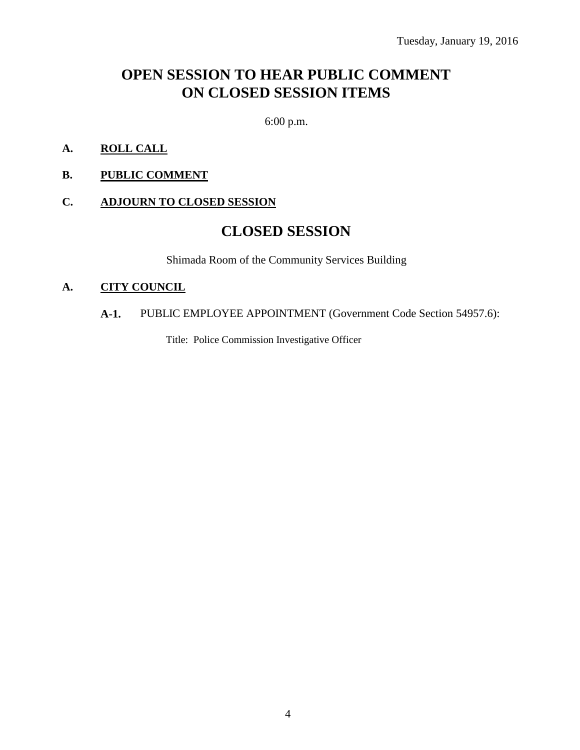# **OPEN SESSION TO HEAR PUBLIC COMMENT ON CLOSED SESSION ITEMS**

6:00 p.m.

- **A. ROLL CALL**
- **B. PUBLIC COMMENT**

#### **C. ADJOURN TO CLOSED SESSION**

# **CLOSED SESSION**

Shimada Room of the Community Services Building

#### **A. CITY COUNCIL**

#### **A-1.** PUBLIC EMPLOYEE APPOINTMENT (Government Code Section 54957.6):

Title: Police Commission Investigative Officer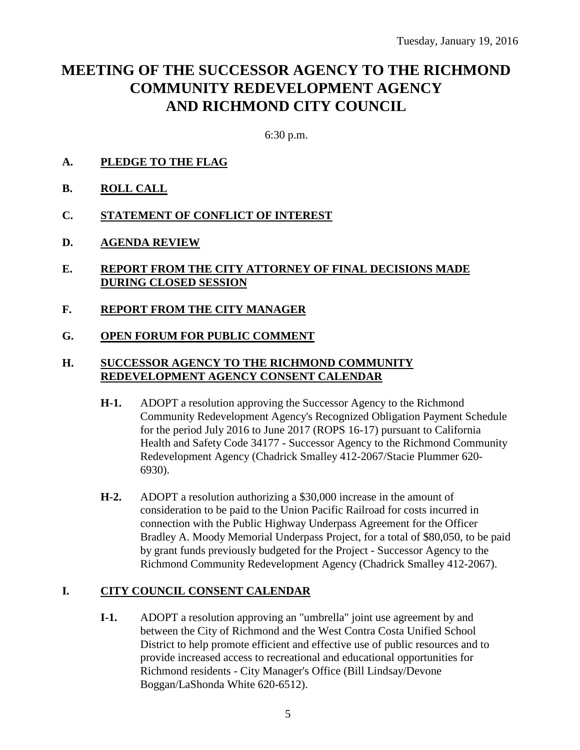# **MEETING OF THE SUCCESSOR AGENCY TO THE RICHMOND COMMUNITY REDEVELOPMENT AGENCY AND RICHMOND CITY COUNCIL**

6:30 p.m.

- **A. PLEDGE TO THE FLAG**
- **B. ROLL CALL**
- **C. STATEMENT OF CONFLICT OF INTEREST**
- **D. AGENDA REVIEW**
- **E. REPORT FROM THE CITY ATTORNEY OF FINAL DECISIONS MADE DURING CLOSED SESSION**
- **F. REPORT FROM THE CITY MANAGER**
- **G. OPEN FORUM FOR PUBLIC COMMENT**

#### **H. SUCCESSOR AGENCY TO THE RICHMOND COMMUNITY REDEVELOPMENT AGENCY CONSENT CALENDAR**

- **H-1.** ADOPT a resolution approving the Successor Agency to the Richmond Community Redevelopment Agency's Recognized Obligation Payment Schedule for the period July 2016 to June 2017 (ROPS 16-17) pursuant to California Health and Safety Code 34177 - Successor Agency to the Richmond Community Redevelopment Agency (Chadrick Smalley 412-2067/Stacie Plummer 620- 6930).
- **H-2.** ADOPT a resolution authorizing a \$30,000 increase in the amount of consideration to be paid to the Union Pacific Railroad for costs incurred in connection with the Public Highway Underpass Agreement for the Officer Bradley A. Moody Memorial Underpass Project, for a total of \$80,050, to be paid by grant funds previously budgeted for the Project - Successor Agency to the Richmond Community Redevelopment Agency (Chadrick Smalley 412-2067).

## **I. CITY COUNCIL CONSENT CALENDAR**

**I-1.** ADOPT a resolution approving an "umbrella" joint use agreement by and between the City of Richmond and the West Contra Costa Unified School District to help promote efficient and effective use of public resources and to provide increased access to recreational and educational opportunities for Richmond residents - City Manager's Office (Bill Lindsay/Devone Boggan/LaShonda White 620-6512).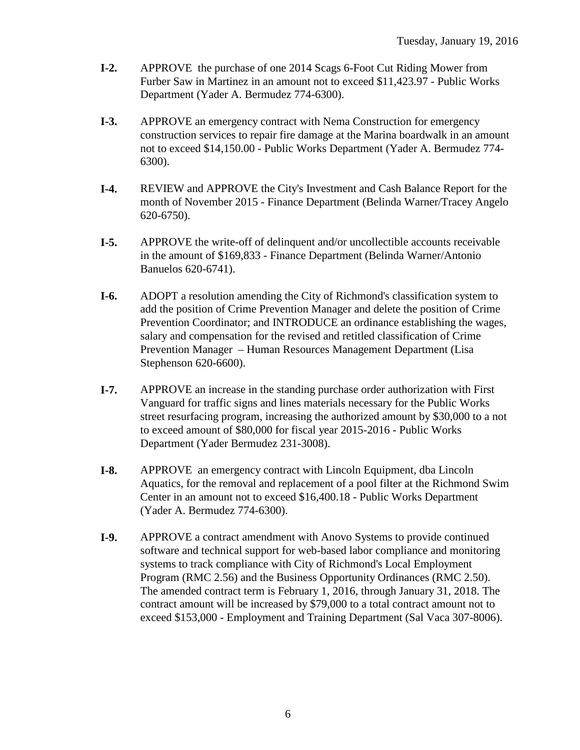- **I-2.** APPROVE the purchase of one 2014 Scags 6-Foot Cut Riding Mower from Furber Saw in Martinez in an amount not to exceed \$11,423.97 - Public Works Department (Yader A. Bermudez 774-6300).
- **I-3.** APPROVE an emergency contract with Nema Construction for emergency construction services to repair fire damage at the Marina boardwalk in an amount not to exceed \$14,150.00 - Public Works Department (Yader A. Bermudez 774- 6300).
- **I-4.** REVIEW and APPROVE the City's Investment and Cash Balance Report for the month of November 2015 - Finance Department (Belinda Warner/Tracey Angelo 620-6750).
- **I-5.** APPROVE the write-off of delinquent and/or uncollectible accounts receivable in the amount of \$169,833 - Finance Department (Belinda Warner/Antonio Banuelos 620-6741).
- **I-6.** ADOPT a resolution amending the City of Richmond's classification system to add the position of Crime Prevention Manager and delete the position of Crime Prevention Coordinator; and INTRODUCE an ordinance establishing the wages, salary and compensation for the revised and retitled classification of Crime Prevention Manager – Human Resources Management Department (Lisa Stephenson 620-6600).
- **I-7.** APPROVE an increase in the standing purchase order authorization with First Vanguard for traffic signs and lines materials necessary for the Public Works street resurfacing program, increasing the authorized amount by \$30,000 to a not to exceed amount of \$80,000 for fiscal year 2015-2016 - Public Works Department (Yader Bermudez 231-3008).
- **I-8.** APPROVE an emergency contract with Lincoln Equipment, dba Lincoln Aquatics, for the removal and replacement of a pool filter at the Richmond Swim Center in an amount not to exceed \$16,400.18 - Public Works Department (Yader A. Bermudez 774-6300).
- **I-9.** APPROVE a contract amendment with Anovo Systems to provide continued software and technical support for web-based labor compliance and monitoring systems to track compliance with City of Richmond's Local Employment Program (RMC 2.56) and the Business Opportunity Ordinances (RMC 2.50). The amended contract term is February 1, 2016, through January 31, 2018. The contract amount will be increased by \$79,000 to a total contract amount not to exceed \$153,000 - Employment and Training Department (Sal Vaca 307-8006).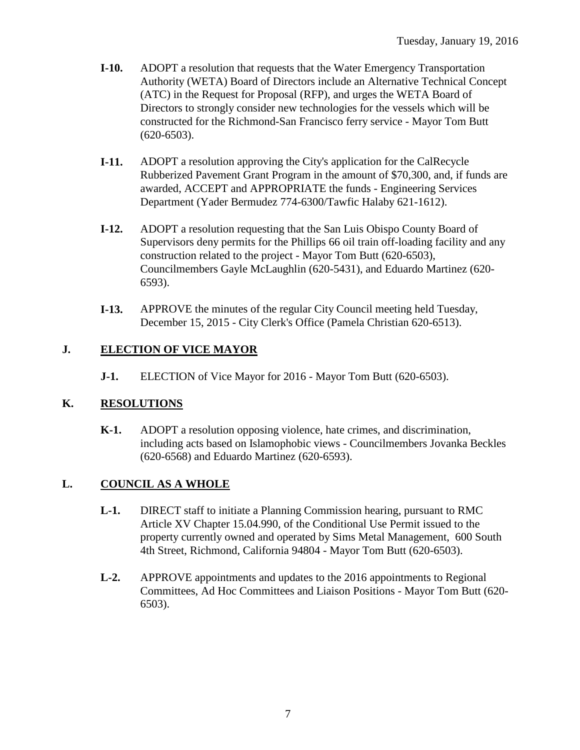- **I-10.** ADOPT a resolution that requests that the Water Emergency Transportation Authority (WETA) Board of Directors include an Alternative Technical Concept (ATC) in the Request for Proposal (RFP), and urges the WETA Board of Directors to strongly consider new technologies for the vessels which will be constructed for the Richmond-San Francisco ferry service - Mayor Tom Butt (620-6503).
- **I-11.** ADOPT a resolution approving the City's application for the CalRecycle Rubberized Pavement Grant Program in the amount of \$70,300, and, if funds are awarded, ACCEPT and APPROPRIATE the funds - Engineering Services Department (Yader Bermudez 774-6300/Tawfic Halaby 621-1612).
- **I-12.** ADOPT a resolution requesting that the San Luis Obispo County Board of Supervisors deny permits for the Phillips 66 oil train off-loading facility and any construction related to the project - Mayor Tom Butt (620-6503), Councilmembers Gayle McLaughlin (620-5431), and Eduardo Martinez (620- 6593).
- **I-13.** APPROVE the minutes of the regular City Council meeting held Tuesday, December 15, 2015 - City Clerk's Office (Pamela Christian 620-6513).

## **J. ELECTION OF VICE MAYOR**

**J-1.** ELECTION of Vice Mayor for 2016 - Mayor Tom Butt (620-6503).

## **K. RESOLUTIONS**

**K-1.** ADOPT a resolution opposing violence, hate crimes, and discrimination, including acts based on Islamophobic views - Councilmembers Jovanka Beckles (620-6568) and Eduardo Martinez (620-6593).

## **L. COUNCIL AS A WHOLE**

- **L-1.** DIRECT staff to initiate a Planning Commission hearing, pursuant to RMC Article XV Chapter 15.04.990, of the Conditional Use Permit issued to the property currently owned and operated by Sims Metal Management, 600 South 4th Street, Richmond, California 94804 - Mayor Tom Butt (620-6503).
- **L-2.** APPROVE appointments and updates to the 2016 appointments to Regional Committees, Ad Hoc Committees and Liaison Positions - Mayor Tom Butt (620- 6503).